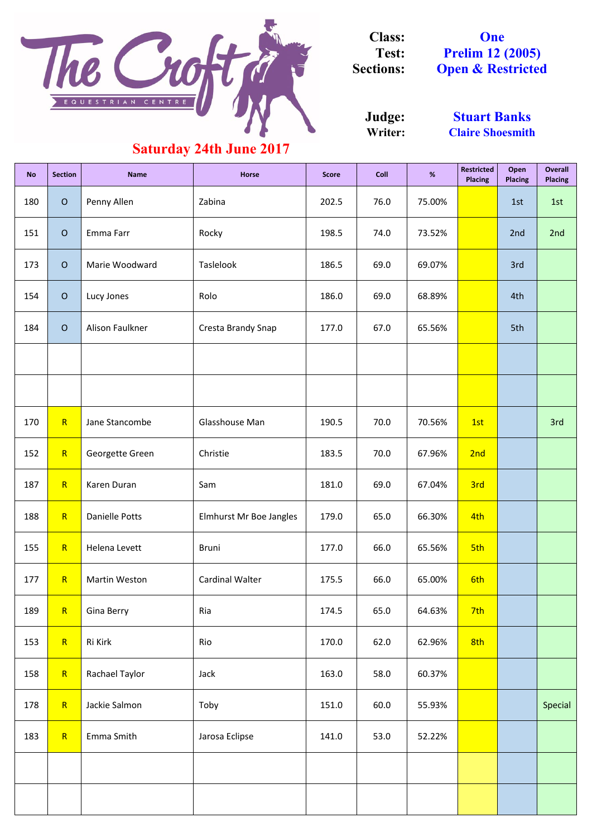| <b>No</b> | <b>Section</b> | <b>Name</b>       | <b>Horse</b>            | <b>Score</b> | <b>Coll</b> | $\%$   | <b>Restricted</b><br><b>Placing</b> | Open<br><b>Placing</b> | <b>Overall</b><br><b>Placing</b> |
|-----------|----------------|-------------------|-------------------------|--------------|-------------|--------|-------------------------------------|------------------------|----------------------------------|
| 180       | $\overline{O}$ | Penny Allen       | Zabina                  | 202.5        | 76.0        | 75.00% |                                     | 1st                    | 1st                              |
| 151       | $\overline{O}$ | Emma Farr         | Rocky                   | 198.5        | 74.0        | 73.52% |                                     | 2nd                    | 2nd                              |
| 173       | $\overline{O}$ | Marie Woodward    | Taslelook               | 186.5        | 69.0        | 69.07% |                                     | 3rd                    |                                  |
| 154       | $\overline{O}$ | Lucy Jones        | Rolo                    | 186.0        | 69.0        | 68.89% |                                     | 4th                    |                                  |
| 184       | $\overline{O}$ | Alison Faulkner   | Cresta Brandy Snap      | 177.0        | 67.0        | 65.56% |                                     | 5th                    |                                  |
|           |                |                   |                         |              |             |        |                                     |                        |                                  |
|           |                |                   |                         |              |             |        |                                     |                        |                                  |
| 170       | R              | Jane Stancombe    | Glasshouse Man          | 190.5        | 70.0        | 70.56% | 1st                                 |                        | 3rd                              |
| 152       | R              | Georgette Green   | Christie                | 183.5        | 70.0        | 67.96% | 2nd                                 |                        |                                  |
| 187       | R              | Karen Duran       | Sam                     | 181.0        | 69.0        | 67.04% | 3rd                                 |                        |                                  |
| 188       | R              | Danielle Potts    | Elmhurst Mr Boe Jangles | 179.0        | 65.0        | 66.30% | 4th                                 |                        |                                  |
| 155       | R              | Helena Levett     | <b>Bruni</b>            | 177.0        | 66.0        | 65.56% | 5th                                 |                        |                                  |
| 177       | R              | Martin Weston     | Cardinal Walter         | 175.5        | 66.0        | 65.00% | 6th                                 |                        |                                  |
| 189       | R              | <b>Gina Berry</b> | Ria                     | 174.5        | 65.0        | 64.63% | 7th                                 |                        |                                  |
| 153       | R              | Ri Kirk           | Rio                     | 170.0        | 62.0        | 62.96% | 8th                                 |                        |                                  |
| 158       | R              | Rachael Taylor    | Jack                    | 163.0        | 58.0        | 60.37% |                                     |                        |                                  |
| 178       | R              | Jackie Salmon     | Toby                    | 151.0        | 60.0        | 55.93% |                                     |                        | Special                          |
| 183       | R              | Emma Smith        | Jarosa Eclipse          | 141.0        | 53.0        | 52.22% |                                     |                        |                                  |
|           |                |                   |                         |              |             |        |                                     |                        |                                  |
|           |                |                   |                         |              |             |        |                                     |                        |                                  |

**Writer: Judge:**

**One Prelim 12 (2005) Open & Restricted**



**Class: Test: Sections:**

> **Stuart Banks Claire Shoesmith**

## **Saturday 24th June 2017**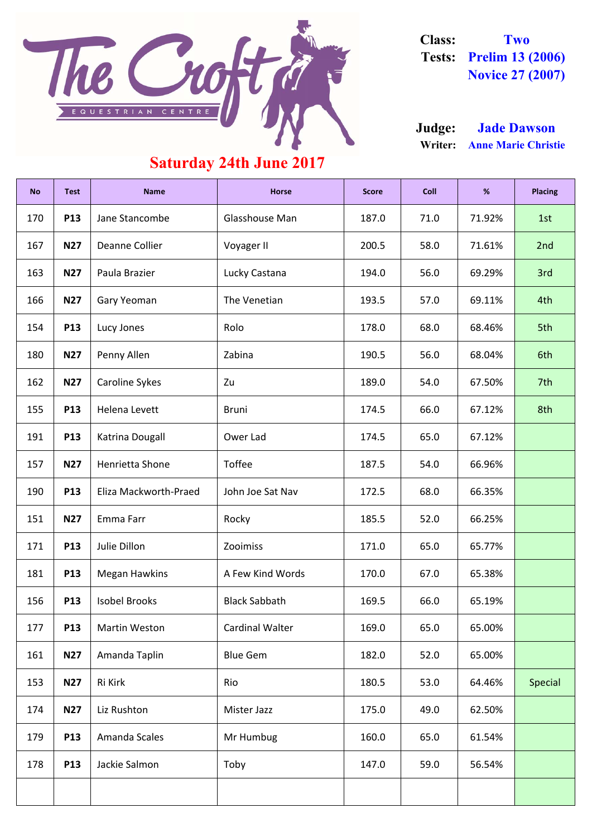| <b>No</b> | <b>Test</b> | <b>Name</b>           | <b>Horse</b>           | <b>Score</b> | <b>Coll</b> | %      | <b>Placing</b> |
|-----------|-------------|-----------------------|------------------------|--------------|-------------|--------|----------------|
| 170       | P13         | Jane Stancombe        | Glasshouse Man         | 187.0        | 71.0        | 71.92% | 1st            |
| 167       | <b>N27</b>  | Deanne Collier        | Voyager II             | 200.5        | 58.0        | 71.61% | 2nd            |
| 163       | <b>N27</b>  | Paula Brazier         | Lucky Castana          | 194.0        | 56.0        | 69.29% | 3rd            |
| 166       | <b>N27</b>  | Gary Yeoman           | The Venetian           | 193.5        | 57.0        | 69.11% | 4th            |
| 154       | <b>P13</b>  | Lucy Jones            | Rolo                   | 178.0        | 68.0        | 68.46% | 5th            |
| 180       | <b>N27</b>  | Penny Allen           | Zabina                 | 190.5        | 56.0        | 68.04% | 6th            |
| 162       | <b>N27</b>  | <b>Caroline Sykes</b> | Zu                     | 189.0        | 54.0        | 67.50% | 7th            |
| 155       | P13         | Helena Levett         | <b>Bruni</b>           | 174.5        | 66.0        | 67.12% | 8th            |
| 191       | <b>P13</b>  | Katrina Dougall       | Ower Lad               | 174.5        | 65.0        | 67.12% |                |
| 157       | <b>N27</b>  | Henrietta Shone       | <b>Toffee</b>          | 187.5        | 54.0        | 66.96% |                |
| 190       | P13         | Eliza Mackworth-Praed | John Joe Sat Nav       | 172.5        | 68.0        | 66.35% |                |
| 151       | <b>N27</b>  | Emma Farr             | Rocky                  | 185.5        | 52.0        | 66.25% |                |
| 171       | <b>P13</b>  | Julie Dillon          | Zooimiss               | 171.0        | 65.0        | 65.77% |                |
| 181       | <b>P13</b>  | <b>Megan Hawkins</b>  | A Few Kind Words       | 170.0        | 67.0        | 65.38% |                |
| 156       | <b>P13</b>  | <b>Isobel Brooks</b>  | <b>Black Sabbath</b>   | 169.5        | 66.0        | 65.19% |                |
| 177       | <b>P13</b>  | <b>Martin Weston</b>  | <b>Cardinal Walter</b> | 169.0        | 65.0        | 65.00% |                |
| 161       | <b>N27</b>  | Amanda Taplin         | <b>Blue Gem</b>        | 182.0        | 52.0        | 65.00% |                |
| 153       | <b>N27</b>  | Ri Kirk               | Rio                    | 180.5        | 53.0        | 64.46% | <b>Special</b> |
| 174       | <b>N27</b>  | Liz Rushton           | Mister Jazz            | 175.0        | 49.0        | 62.50% |                |
| 179       | <b>P13</b>  | <b>Amanda Scales</b>  | Mr Humbug              | 160.0        | 65.0        | 61.54% |                |
| 178       | P13         | Jackie Salmon         | Toby                   | 147.0        | 59.0        | 56.54% |                |
|           |             |                       |                        |              |             |        |                |



**Class: Two Tests: Prelim 13 (2006) Novice 27 (2007)**

**Writer: Anne Marie Christie Judge: Jade Dawson**

## **Saturday 24th June 2017**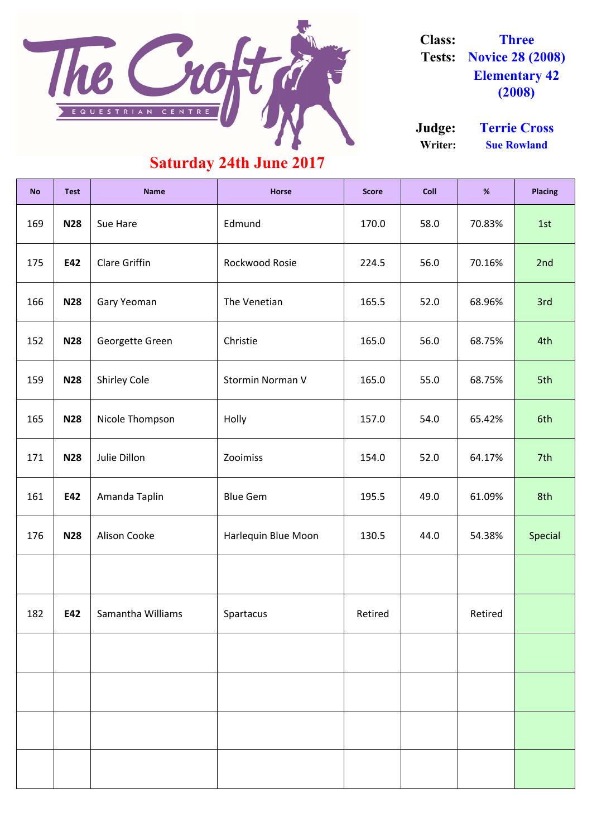| <b>No</b> | <b>Test</b> | <b>Name</b>          | <b>Horse</b>            | <b>Score</b> | <b>Coll</b> | %       | <b>Placing</b> |
|-----------|-------------|----------------------|-------------------------|--------------|-------------|---------|----------------|
| 169       | <b>N28</b>  | Sue Hare             | Edmund                  | 170.0        | 58.0        | 70.83%  | 1st            |
| 175       | E42         | <b>Clare Griffin</b> | Rockwood Rosie          | 224.5        | 56.0        | 70.16%  | 2nd            |
| 166       | <b>N28</b>  | Gary Yeoman          | The Venetian            | 165.5        | 52.0        | 68.96%  | 3rd            |
| 152       | <b>N28</b>  | Georgette Green      | Christie                | 165.0        | 56.0        | 68.75%  | 4th            |
| 159       | <b>N28</b>  | <b>Shirley Cole</b>  | <b>Stormin Norman V</b> | 165.0        | 55.0        | 68.75%  | 5th            |
| 165       | <b>N28</b>  | Nicole Thompson      | Holly                   | 157.0        | 54.0        | 65.42%  | 6th            |
| 171       | <b>N28</b>  | Julie Dillon         | Zooimiss                | 154.0        | 52.0        | 64.17%  | 7th            |
| 161       | E42         | Amanda Taplin        | <b>Blue Gem</b>         | 195.5        | 49.0        | 61.09%  | 8th            |
| 176       | <b>N28</b>  | <b>Alison Cooke</b>  | Harlequin Blue Moon     | 130.5        | 44.0        | 54.38%  | Special        |
|           |             |                      |                         |              |             |         |                |
| 182       | E42         | Samantha Williams    | Spartacus               | Retired      |             | Retired |                |
|           |             |                      |                         |              |             |         |                |
|           |             |                      |                         |              |             |         |                |
|           |             |                      |                         |              |             |         |                |
|           |             |                      |                         |              |             |         |                |



**Class: Three Tests: Novice 28 (2008) Elementary 42 (2008)**

## **Saturday 24th June 2017**

**Writer: Sue Rowland Judge: Terrie Cross**